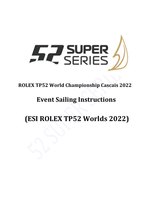

### **ROLEX TP52 World Championship Cascais 2022**

## **Event Sailing Instructions**

# **(ESI ROLEX TP52 Worlds 2022)**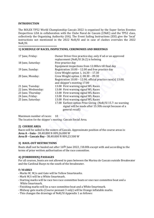#### **INTRODUCTION**

The ROLEX TP52 World Championship Cascais 2022 is organised by the Super Series Eventos Desportivos LDA in collaboration with the Clube Naval de Cascais (CNdC) and the TP52 class, collectively the Organizing Authority (OA). The Event Sailing Instructions (ESI) give the 'local' instructions not mentioned in the 2022 NoR/SI and in case of clashes overrules the 2022 NoR/SI.

#### ======================== 1) SCHEDULE OF RACES, INSPECTIONS, CEREMONIES AND BRIEFINGS

| 17 June, Friday:    | Owner Driver free practice day, only if od or an approved<br>replacement (NoR/SI 26.2) is helming |
|---------------------|---------------------------------------------------------------------------------------------------|
| 18 June, Saturday:  | Free practice day                                                                                 |
|                     | Equipment inspections from 12.00hrs till final day                                                |
| 19 June, Sunday:    | Registration 10.00 - 12.00 and free practice day                                                  |
|                     | Crew Weight option 1, 16.30 - 17.30                                                               |
| 20 June, Monday:    | Crew Weight option 2, 08.30 - 09.30                                                               |
|                     | Registration $10.00 - 12.00$ , official practice race(s) 13.00,                                   |
|                     | and skipper's meeting 17.00                                                                       |
| 21 June, Tuesday:   | 13.00 First warning signal WL Races                                                               |
| 22 June, Wednesday: | 13.00 First warning signal WL Races                                                               |
| 23 June, Thursday:  | 13.00 First warning signal WL Races                                                               |
| 24 June, Friday:    | 13.00 First warning signal WL Races                                                               |
| 25 June, Saturday:  | 13.00 First warning signal WL Races                                                               |
|                     | 17.00 Earliest option Prize Giving (NoR/SI 15.7: no warning                                       |
|                     | signal will be made after 15:30h except because of a                                              |
|                     | general recall)                                                                                   |

Maximum number of races: 10 The location for the skipper's meeting: Cascais Social Area.

#### **2) COURSE AREA**

Races will be sailed in the waters of Cascais. Approximate position of the course areas is: **Area A – Guia -** 38,40.000 N 009,26.000 W **Area B – Cascais Bay -** 38,40.000 N 009,23.500 W 

#### **3) HAUL-OUT RESTRICTIONS**

Boats shall not be hauled out after  $16<sup>th</sup>$  June 2022 /18.00h except with and according to the terms of prior written authorisation of the race committee.

#### **4) (FORBIDDEN) PASSAGES**

For all courses, boats are not allowed to pass between the Marina de Cascais outside Breakwater and the Cardinal Buoys to the south of the breakwater.

#### **5) MARKS**

- Marks W, W/o and Gate will be Yellow Smartmarks.
- Mark W/i will be a White Smartmark.
- Starting marks will be race two race committee boats or one race committee boat and a White Smartmark.
- Finishing marks will be a race committee boat and a White Smartmark.
- Midway gate marks (Course pennant 3 only) will be Orange inflatable marks.
- This changes the drawings of NoR/SI Appendix 1 as follows: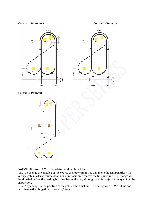#### **Course 1: Pennant 1 Course 2: Pennant**



 **Course 3: Pennant 3**



#### NoR/SI 18.1 and 18.2 to be deleted and replaced by:

18.1 To change the next leg of the course the race committee will move the Smartmarks / the orange gate marks of course 3 to their new position, or move the finishing line. The change will be signaled before the leading boat has begun the leg, although the (Smart)marks may not yet be in position.

18.2 Any change to the position of the gate or the finish line will be signaled at  $W/\sigma$ . This does not change the obligation to leave  $W/i$  to port.